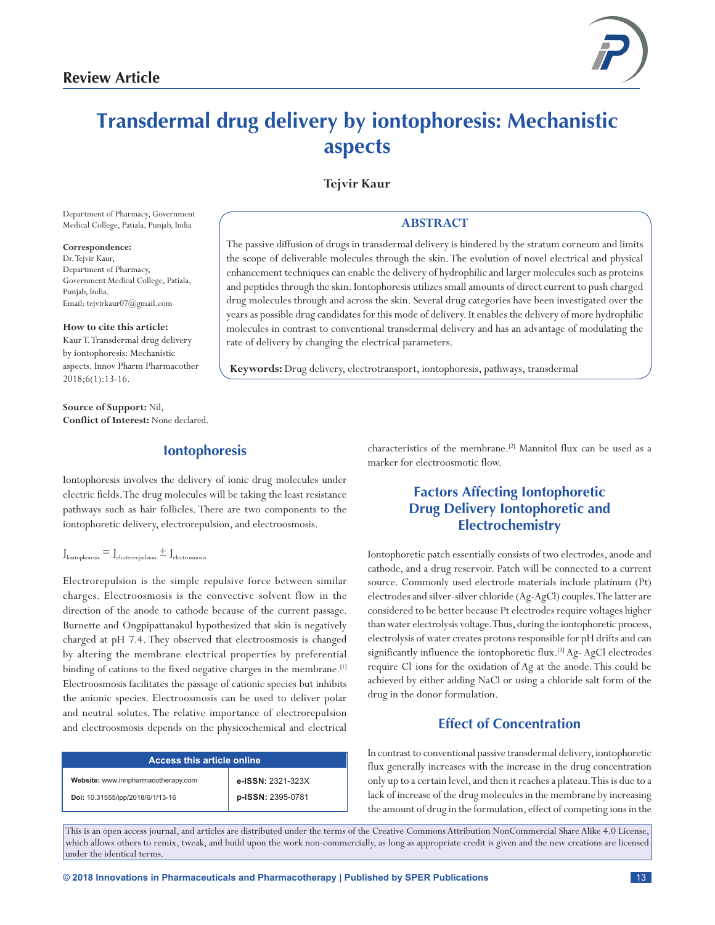

# **Transdermal drug delivery by iontophoresis: Mechanistic aspects**

# **Tejvir Kaur**

Department of Pharmacy, Government Medical College, Patiala, Punjab, India

**Correspondence:**

Dr.Tejvir Kaur, Department of Pharmacy, Government Medical College, Patiala, Punjab, India. Email: tejvirkaur07@gmail.com

**How to cite this article:**

Kaur T. Transdermal drug delivery by iontophoresis: Mechanistic aspects. Innov Pharm Pharmacother 2018;6(1):13-16.

**Source of Support:** Nil, **Conflict of Interest:** None declared.

# **Iontophoresis**

Iontophoresis involves the delivery of ionic drug molecules under electric fields. The drug molecules will be taking the least resistance pathways such as hair follicles. There are two components to the iontophoretic delivery, electrorepulsion, and electroosmosis.

# $J<sub>lontophoresis</sub> = J<sub>electrorepulsion</sub> \pm J<sub>electrosmosis</sub>$

Electrorepulsion is the simple repulsive force between similar charges. Electroosmosis is the convective solvent flow in the direction of the anode to cathode because of the current passage. Burnette and Ongpipattanakul hypothesized that skin is negatively charged at pH 7.4. They observed that electroosmosis is changed by altering the membrane electrical properties by preferential binding of cations to the fixed negative charges in the membrane.<sup>[1]</sup> Electroosmosis facilitates the passage of cationic species but inhibits the anionic species. Electroosmosis can be used to deliver polar and neutral solutes. The relative importance of electrorepulsion and electroosmosis depends on the physicochemical and electrical

| <b>Access this article online.</b>  |                   |
|-------------------------------------|-------------------|
| Website: www.innpharmacotherapy.com | e-ISSN: 2321-323X |
| Doi: 10.31555/ipp/2018/6/1/13-16    | p-ISSN: 2395-0781 |

# **ABSTRACT**

The passive diffusion of drugs in transdermal delivery is hindered by the stratum corneum and limits the scope of deliverable molecules through the skin. The evolution of novel electrical and physical enhancement techniques can enable the delivery of hydrophilic and larger molecules such as proteins and peptides through the skin. Iontophoresis utilizes small amounts of direct current to push charged drug molecules through and across the skin. Several drug categories have been investigated over the years as possible drug candidates for this mode of delivery. It enables the delivery of more hydrophilic molecules in contrast to conventional transdermal delivery and has an advantage of modulating the rate of delivery by changing the electrical parameters.

**Keywords:** Drug delivery, electrotransport, iontophoresis, pathways, transdermal

characteristics of the membrane.<sup>[2]</sup> Mannitol flux can be used as a marker for electroosmotic flow.

# **Factors Affecting Iontophoretic Drug Delivery Iontophoretic and Electrochemistry**

Iontophoretic patch essentially consists of two electrodes, anode and cathode, and a drug reservoir. Patch will be connected to a current source. Commonly used electrode materials include platinum (Pt) electrodes and silver-silver chloride (Ag-AgCl) couples. The latter are considered to be better because Pt electrodes require voltages higher than water electrolysis voltage. Thus, during the iontophoretic process, electrolysis of water creates protons responsible for pH drifts and can significantly influence the iontophoretic flux.<sup>[3]</sup> Ag- AgCl electrodes require Cl- ions for the oxidation of Ag at the anode. This could be achieved by either adding NaCl or using a chloride salt form of the drug in the donor formulation.

# **Effect of Concentration**

In contrast to conventional passive transdermal delivery, iontophoretic flux generally increases with the increase in the drug concentration only up to a certain level, and then it reaches a plateau. This is due to a lack of increase of the drug molecules in the membrane by increasing the amount of drug in the formulation, effect of competing ions in the

This is an open access journal, and articles are distributed under the terms of the Creative Commons Attribution NonCommercial Share Alike 4.0 License, which allows others to remix, tweak, and build upon the work non-commercially, as long as appropriate credit is given and the new creations are licensed under the identical terms.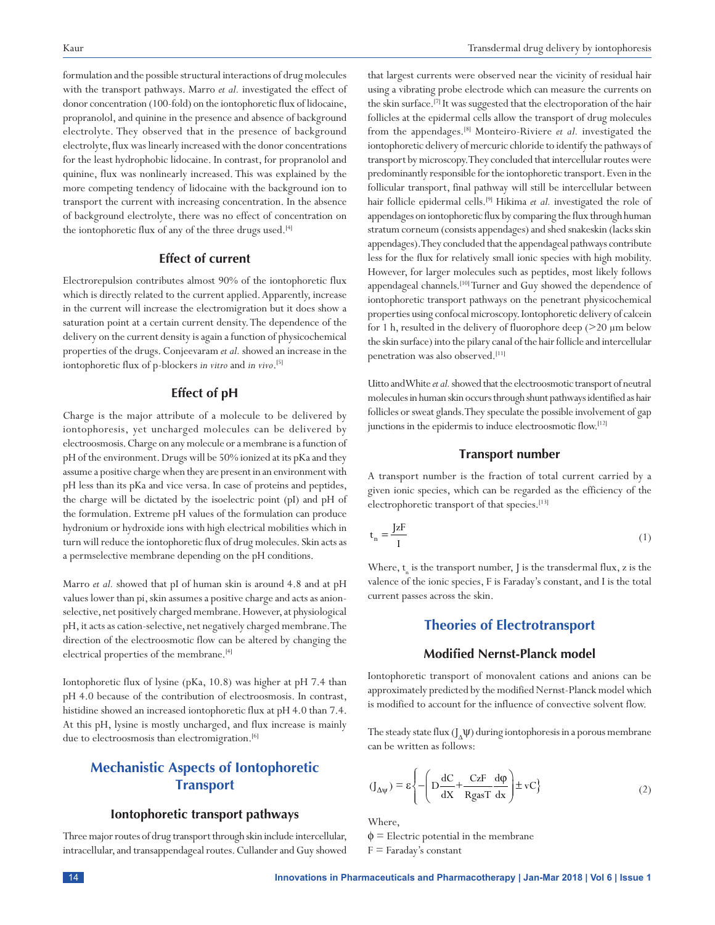formulation and the possible structural interactions of drug molecules with the transport pathways. Marro *et al.* investigated the effect of donor concentration (100-fold) on the iontophoretic flux of lidocaine, propranolol, and quinine in the presence and absence of background electrolyte. They observed that in the presence of background electrolyte, flux was linearly increased with the donor concentrations for the least hydrophobic lidocaine. In contrast, for propranolol and quinine, flux was nonlinearly increased. This was explained by the more competing tendency of lidocaine with the background ion to transport the current with increasing concentration. In the absence of background electrolyte, there was no effect of concentration on the iontophoretic flux of any of the three drugs used.<sup>[4]</sup>

#### **Effect of current**

Electrorepulsion contributes almost 90% of the iontophoretic flux which is directly related to the current applied. Apparently, increase in the current will increase the electromigration but it does show a saturation point at a certain current density. The dependence of the delivery on the current density is again a function of physicochemical properties of the drugs. Conjeevaram *etal.* showed an increase in the iontophoretic flux of p-blockers *in vitro* and *in vivo*. [5]

#### **Effect of pH**

Charge is the major attribute of a molecule to be delivered by iontophoresis, yet uncharged molecules can be delivered by electroosmosis. Charge on any molecule or a membrane is a function of pH of the environment. Drugs will be 50% ionized at its pKa and they assume a positive charge when they are present in an environment with pH less than its pKa and vice versa. In case of proteins and peptides, the charge will be dictated by the isoelectric point (pI) and pH of the formulation. Extreme pH values of the formulation can produce hydronium or hydroxide ions with high electrical mobilities which in turn will reduce the iontophoretic flux of drug molecules. Skin acts as a permselective membrane depending on the pH conditions.

Marro *et al.* showed that pI of human skin is around 4.8 and at pH values lower than pi, skin assumes a positive charge and acts as anionselective, net positively charged membrane. However, at physiological pH, it acts as cation-selective, net negatively charged membrane. The direction of the electroosmotic flow can be altered by changing the electrical properties of the membrane.<sup>[4]</sup>

Iontophoretic flux of lysine (pKa, 10.8) was higher at pH 7.4 than pH 4.0 because of the contribution of electroosmosis. In contrast, histidine showed an increased iontophoretic flux at pH 4.0 than 7.4. At this pH, lysine is mostly uncharged, and flux increase is mainly due to electroosmosis than electromigration.<sup>[6]</sup>

# **Mechanistic Aspects of Iontophoretic Transport**

#### **Iontophoretic transport pathways**

Three major routes of drug transport through skin include intercellular, intracellular, and transappendageal routes. Cullander and Guy showed that largest currents were observed near the vicinity of residual hair using a vibrating probe electrode which can measure the currents on the skin surface.<sup>[7]</sup> It was suggested that the electroporation of the hair follicles at the epidermal cells allow the transport of drug molecules from the appendages.[8] Monteiro-Riviere *et al.* investigated the iontophoretic delivery of mercuric chloride to identify the pathways of transport by microscopy. They concluded that intercellular routes were predominantly responsible for the iontophoretic transport. Even in the follicular transport, final pathway will still be intercellular between hair follicle epidermal cells.[9] Hikima *et al.* investigated the role of appendages on iontophoretic flux by comparing the flux through human stratum corneum (consists appendages) and shed snakeskin (lacks skin appendages). They concluded that the appendageal pathways contribute less for the flux for relatively small ionic species with high mobility. However, for larger molecules such as peptides, most likely follows appendageal channels.<sup>[10]</sup> Turner and Guy showed the dependence of iontophoretic transport pathways on the penetrant physicochemical properties using confocal microscopy. Iontophoretic delivery of calcein for 1 h, resulted in the delivery of fluorophore deep (>20 µm below the skin surface) into the pilary canal of the hair follicle and intercellular penetration was also observed.[11]

Uitto and White *et al.* showed that the electroosmotic transport of neutral molecules in human skin occurs through shunt pathways identified as hair follicles or sweat glands. They speculate the possible involvement of gap junctions in the epidermis to induce electroosmotic flow.<sup>[12]</sup>

#### **Transport number**

A transport number is the fraction of total current carried by a given ionic species, which can be regarded as the efficiency of the electrophoretic transport of that species.[13]

$$
t_n = \frac{JzF}{I}
$$
 (1)

Where,  $\mathbf{t}_{_{\mathrm{n}}}$  is the transport number,  $\mathbf{J}$  is the transdermal flux,  $\mathbf{z}$  is the valence of the ionic species, F is Faraday's constant, and I is the total current passes across the skin.

# **Theories of Electrotransport**

#### **Modified Nernst-Planck model**

Iontophoretic transport of monovalent cations and anions can be approximately predicted by the modified Nernst-Planck model which is modified to account for the influence of convective solvent flow.

The steady state flux  $(J_A \psi)$  during iontophoresis in a porous membrane can be written as follows:

$$
(\mathbf{J}_{\Delta\psi}) = \varepsilon \left\{ -\left( \mathbf{D} \frac{\mathrm{d}\mathbf{C}}{\mathrm{d}\mathbf{X}} + \frac{\mathbf{C}\mathbf{z}\mathbf{F}}{\mathbf{R}\mathbf{g}\mathbf{a}\mathbf{s}\mathbf{T}} \frac{\mathrm{d}\varphi}{\mathrm{d}\mathbf{x}} \right) \pm \mathbf{v}\mathbf{C} \right\} \tag{2}
$$

Where,

 $\phi$  = Electric potential in the membrane

 $F =$  Faraday's constant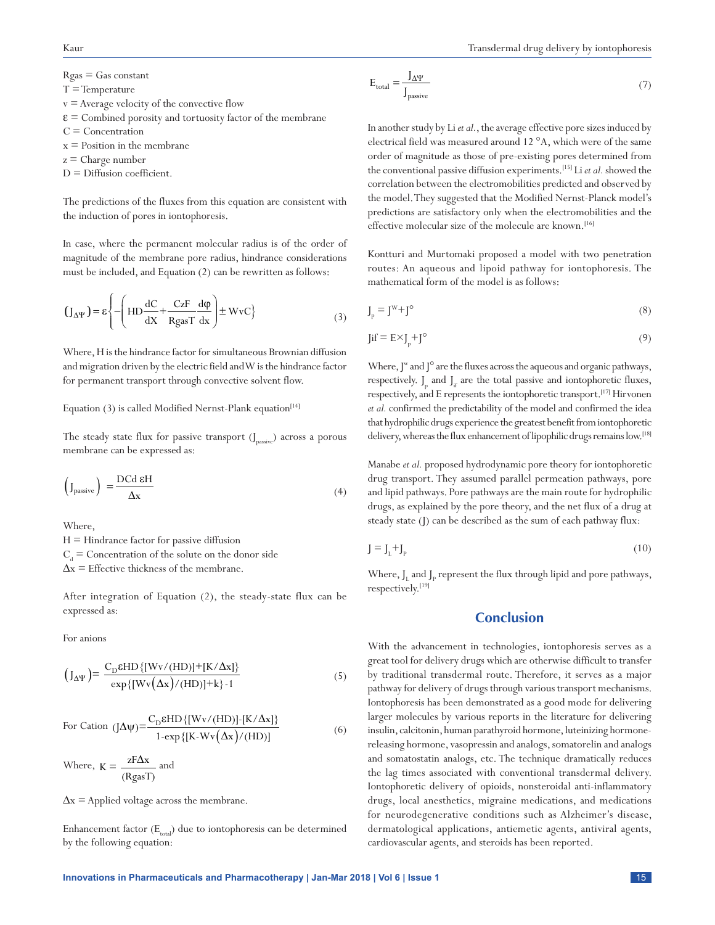$Rgas = Gas constant$ 

- $T =$ Temperature
- $v =$  Average velocity of the convective flow
- $\epsilon$  = Combined porosity and tortuosity factor of the membrane
- $C =$  Concentration
- $x =$  Position in the membrane
- $z =$ Charge number
- $D =$  Diffusion coefficient.

The predictions of the fluxes from this equation are consistent with the induction of pores in iontophoresis.

In case, where the permanent molecular radius is of the order of magnitude of the membrane pore radius, hindrance considerations must be included, and Equation (2) can be rewritten as follows:

$$
\left(\mathbf{J}_{\Delta\Psi}\right) = \varepsilon \left\{ -\left(\mathbf{H}\mathbf{D}\frac{\mathrm{d}\mathbf{C}}{\mathrm{d}\mathbf{X}} + \frac{\mathbf{C}\mathbf{z}\mathbf{F}}{\mathbf{R}\mathbf{g}\mathbf{a}\mathbf{s}\mathbf{T}}\frac{\mathrm{d}\phi}{\mathrm{d}\mathbf{x}}\right) \pm \mathbf{W}\mathbf{v}\mathbf{C} \right\} \tag{3}
$$

Where, H is the hindrance factor for simultaneous Brownian diffusion and migration driven by the electric field and W is the hindrance factor for permanent transport through convective solvent flow.

Equation  $(3)$  is called Modified Nernst-Plank equation<sup>[14]</sup>

The steady state flux for passive transport  $(J_{\text{passive}})$  across a porous membrane can be expressed as:

$$
\left(\mathbf{J}_{\text{passive}}\right) = \frac{\text{DCd }\epsilon\mathbf{H}}{\Delta\mathbf{x}}\tag{4}
$$

Where,

 $H = H$ indrance factor for passive diffusion  $\text{C}_{_{\text{d}}}$   $=$  Concentration of the solute on the donor side  $\Delta x$  = Effective thickness of the membrane.

After integration of Equation (2), the steady-state flux can be expressed as:

For anions

$$
\left(\mathbf{J}_{\Delta\Psi}\right) = \frac{\mathbf{C}_{\mathbf{D}}\epsilon\mathbf{H}\mathbf{D}\left\{[\mathbf{W}\mathbf{v}/(\mathbf{H}\mathbf{D})] + [\mathbf{K}/\Delta\mathbf{x}]\right\}}{\exp\left\{[\mathbf{W}\mathbf{v}(\Delta\mathbf{x})/(\mathbf{H}\mathbf{D})] + \mathbf{k}\right\} \cdot 1} \tag{5}
$$

For Cation 
$$
(J\Delta\psi) = \frac{C_D \mathcal{E}HD\{[Wv/(HD)]-[K/\Delta x]\}}{1-\exp\{[K-Wv(\Delta x)/(HD)]}}
$$
 (6)

Where,  $K = \frac{zF\Delta x}{\Delta x}$  $K = \frac{24 \Delta x}{(RgasT)}$ and

 $\Delta x$  = Applied voltage across the membrane.

Enhancement factor  $(E_{total})$  due to iontophoresis can be determined by the following equation:

$$
E_{\text{total}} = \frac{J_{\Delta\Psi}}{J_{\text{passive}}} \tag{7}
$$

In another study by Li *etal.*, the average effective pore sizes induced by electrical field was measured around 12 °A, which were of the same order of magnitude as those of pre-existing pores determined from the conventional passive diffusion experiments.[15] Li *etal.* showed the correlation between the electromobilities predicted and observed by the model. They suggested that the Modified Nernst-Planck model's predictions are satisfactory only when the electromobilities and the effective molecular size of the molecule are known.<sup>[16]</sup>

Kontturi and Murtomaki proposed a model with two penetration routes: An aqueous and lipoid pathway for iontophoresis. The mathematical form of the model is as follows:

$$
J_p = J^W + J^\circ \tag{8}
$$

$$
\text{Jif} = \text{E} \times \text{J}_p + \text{J}^\circ \tag{9}
$$

Where,  $J^w$  and  $J^o$  are the fluxes across the aqueous and organic pathways, respectively.  $J_{p}$  and  $J_{if}$  are the total passive and iontophoretic fluxes, respectively, and E represents the iontophoretic transport.[17] Hirvonen *etal.* confirmed the predictability of the model and confirmed the idea that hydrophilic drugs experience the greatest benefit from iontophoretic delivery, whereas the flux enhancement of lipophilic drugs remains low.<sup>[18]</sup>

Manabe *et al.* proposed hydrodynamic pore theory for iontophoretic drug transport. They assumed parallel permeation pathways, pore and lipid pathways. Pore pathways are the main route for hydrophilic drugs, as explained by the pore theory, and the net flux of a drug at steady state (J) can be described as the sum of each pathway flux:

$$
J = J_L + J_P \tag{10}
$$

Where,  ${\bf J}_{\rm L}$  and  ${\bf J}_{\rm P}$  represent the flux through lipid and pore pathways, respectively.[19]

#### **Conclusion**

With the advancement in technologies, iontophoresis serves as a great tool for delivery drugs which are otherwise difficult to transfer by traditional transdermal route. Therefore, it serves as a major pathway for delivery of drugs through various transport mechanisms. Iontophoresis has been demonstrated as a good mode for delivering larger molecules by various reports in the literature for delivering insulin, calcitonin, human parathyroid hormone, luteinizing hormonereleasing hormone, vasopressin and analogs, somatorelin and analogs and somatostatin analogs, etc. The technique dramatically reduces the lag times associated with conventional transdermal delivery. Iontophoretic delivery of opioids, nonsteroidal anti-inflammatory drugs, local anesthetics, migraine medications, and medications for neurodegenerative conditions such as Alzheimer's disease, dermatological applications, antiemetic agents, antiviral agents, cardiovascular agents, and steroids has been reported.